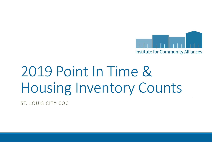

## 2019 Point In Time & Housing Inventory Counts

ST. LOUIS CITY COC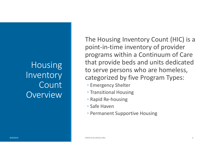#### **Housing Inventory Count** Overview

The Housing Inventory Count (HIC) is a point-in-time inventory of provider programs within a Continuum of Care that provide beds and units dedicated to serve persons who are homeless, categorized by five Program Types:

- Emergency Shelter
- Transitional Housing
- Rapid Re-housing
- Safe Haven
- Permanent Supportive Housing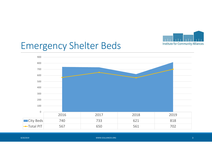

## Emergency Shelter Beds



| 8/20/2019 | WWW.ICALLIANCES.ORG |  |
|-----------|---------------------|--|
|           |                     |  |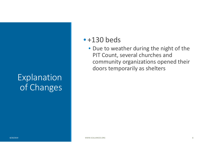#### Explanation of Changes

#### $\bullet$  +130 beds

• Due to weather during the night of the PIT Count, several churches and community organizations opened their doors temporarily as shelters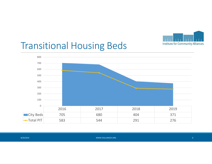

## Transitional Housing Beds

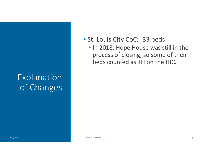#### Explanation of Changes

#### • St. Louis City CoC: -33 beds

• In 2018, Hope House was still in the process of closing, so some of their beds counted as TH on the HIC.

 WWW.ICALLIANCES.ORG $\epsilon$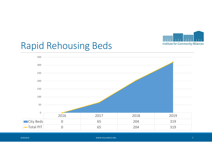

### Rapid Rehousing Beds



| 8/20/2019 | WWW.ICALLIANCES.ORG |  |
|-----------|---------------------|--|
|           |                     |  |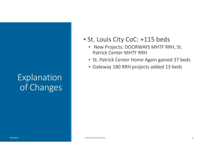#### Explanation of Changes

#### • St. Louis City CoC: +115 beds

- New Projects: DOORWAYS MHTF RRH, St. Patrick Center MHTF RRH
- St. Patrick Center Home Again gained 37 beds
- Gateway 180 RRH projects added 13 beds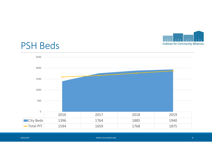

#### PSH Beds



| 8/20/2019 | WWW.ICALLIANCES.ORG |  |
|-----------|---------------------|--|
|           |                     |  |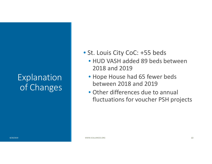#### Explanation of Changes

- St. Louis City CoC: +55 beds
	- HUD VASH added 89 beds between 2018 and 2019
	- Hope House had 65 fewer beds between 2018 and 2019
	- Other differences due to annual fluctuations for voucher PSH projects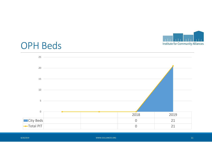

#### OPH Beds



| 8/20/2019 | WWW.ICALLIANCES.ORG | 11 |
|-----------|---------------------|----|
|           |                     |    |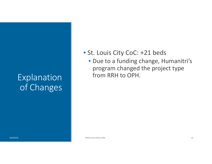#### Explanation of Changes

#### • St. Louis City CoC: +21 beds

 • Due to a funding change, Humanitri'sprogram changed the project type from RRH to OPH.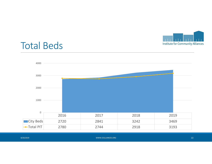

## Total Beds



| 8/20/2019 | WWW.ICALLIANCES.ORG | . . |
|-----------|---------------------|-----|
|           |                     |     |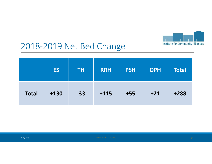

#### 2018-2019 Net Bed Change

|              | <b>ES</b> | <b>TH</b> | <b>RRH</b> | <b>PSH</b> | <b>OPH</b> | <b>Total</b> |
|--------------|-----------|-----------|------------|------------|------------|--------------|
| <b>Total</b> | $+130$    | $-33$     | $+115$     | $+55$      | $+21$      | $+288$       |

8/20/2019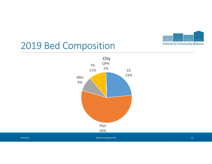

#### 2019 Bed Composition



8/20/2019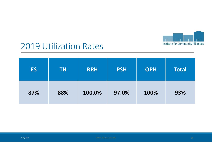

#### 2019 Utilization Rates

| <b>ES</b> | TΗ  | <b>RRH</b> | <b>PSH</b> | <b>OPH</b> | <b>Total</b> |
|-----------|-----|------------|------------|------------|--------------|
| 87%       | 88% | 100.0%     | 97.0%      | 100%       | 93%          |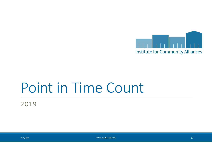

## Point in Time Count

2019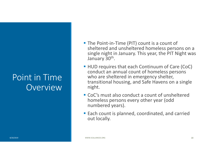#### Point in TimeOverview

- The Point-in-Time (PIT) count is a count of sheltered and unsheltered homeless persons on a single night in January. This year, the PIT Night was January 30<sup>th</sup>.
- HUD requires that each Continuum of Care (CoC) conduct an annual count of homeless persons who are sheltered in emergency shelter, transitional housing, and Safe Havens on a single night.
- CoC's must also conduct a count of unsheltered homeless persons every other year (odd numbered years).
- Each count is planned, coordinated, and carried out locally.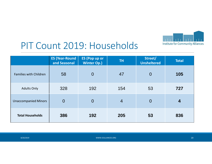

#### PIT Count 2019: Households

|                               | <b>ES (Year-Round</b><br>and Seasonal | <b>ES (Pop up or</b><br><b>Winter Op.)</b> | <b>TH</b>      | Street/<br><b>Unsheltered</b> | <b>Total</b> |
|-------------------------------|---------------------------------------|--------------------------------------------|----------------|-------------------------------|--------------|
| <b>Families with Children</b> | 58                                    | $\overline{0}$                             | 47             | $\overline{0}$                | 105          |
| <b>Adults Only</b>            | 328                                   | 192                                        | 154            | 53                            | 727          |
| <b>Unaccompanied Minors</b>   | $\overline{0}$                        | $\overline{0}$                             | $\overline{4}$ | $\overline{0}$                | 4            |
| <b>Total Households</b>       | 386                                   | 192                                        | 205            | 53                            | 836          |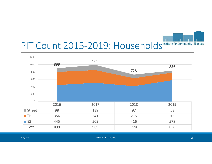PIT Count 2015-2019: Households Institute for Community Alliances



| 8/20/2019 | WWW.ICALLIANCES.ORG | 20 |
|-----------|---------------------|----|
|           |                     |    |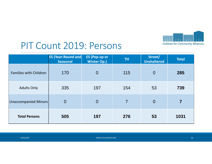

#### PIT Count 2019: Persons

|                               | <b>ES (Year-Round and)</b><br><b>Seasonal</b> | <b>ES (Pop up or</b><br><b>Winter Op.)</b> | TH.            | Street/<br><b>Unsheltered</b> | <b>Total</b> |
|-------------------------------|-----------------------------------------------|--------------------------------------------|----------------|-------------------------------|--------------|
| <b>Families with Children</b> | 170                                           | $\overline{0}$                             | 115            | $\overline{0}$                | 285          |
| <b>Adults Only</b>            | 335                                           | 197                                        | 154            | 53                            | 739          |
| Unaccompanied Minors          | $\overline{0}$                                | $\overline{0}$                             | $\overline{7}$ | $\overline{0}$                |              |
| <b>Total Persons</b>          | 505                                           | 197                                        | 276            | 53                            | 1031         |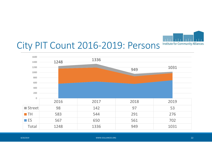

#### City PIT Count 2016-2019: Persons



|  | 8/20/2019 |
|--|-----------|
|  |           |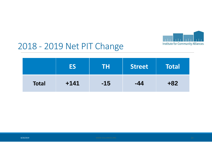

#### 2018 - 2019 Net PIT Change

|              |        | TH    | <b>Street</b> | Total |
|--------------|--------|-------|---------------|-------|
| <b>Total</b> | $+141$ | $-15$ | $-44$         | $+82$ |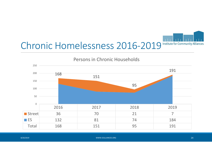# Chronic Homelessness 2016-2019 Institute for Community Alliances



| 8/20/2019 | WWW.ICALLIANCES.ORG | 447 |
|-----------|---------------------|-----|
|           |                     |     |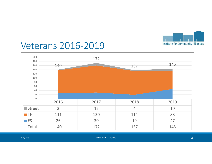

#### Veterans 2016-2019

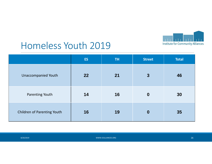

### Homeless Youth 2019

|                             | <b>ES</b> | <b>TH</b> | <b>Street</b>    | <b>Total</b> |
|-----------------------------|-----------|-----------|------------------|--------------|
| <b>Unaccompanied Youth</b>  | 22        | 21        | $\overline{3}$   | 46           |
| Parenting Youth             | 14        | 16        | $\boldsymbol{0}$ | 30           |
| Children of Parenting Youth | 16        | 19        | $\boldsymbol{0}$ | 35           |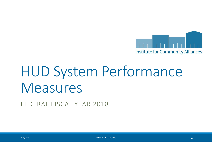

## HUD System Performance Measures

FEDERAL FISCAL YEAR 2018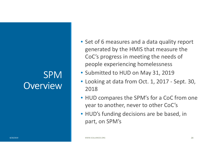#### SPMOverview

- Set of 6 measures and a data quality report generated by the HMIS that measure the CoC's progress in meeting the needs of people experiencing homelessness
- Submitted to HUD on May 31, 2019
- Looking at data from Oct. 1, 2017 Sept. 30, 2018
- HUD compares the SPM's for a CoC from one year to another, never to other CoC's
- HUD's funding decisions are be based, in part, on SPM's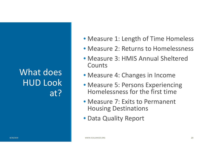### What does HUD Look at?

- Measure 1: Length of Time Homeless
- Measure 2: Returns to Homelessness
- Measure 3: HMIS Annual Sheltered **Counts**
- Measure 4: Changes in Income
- Measure 5: Persons Experiencing Homelessness for the first time
- Measure 7: Exits to Permanent Housing Destinations
- Data Quality Report